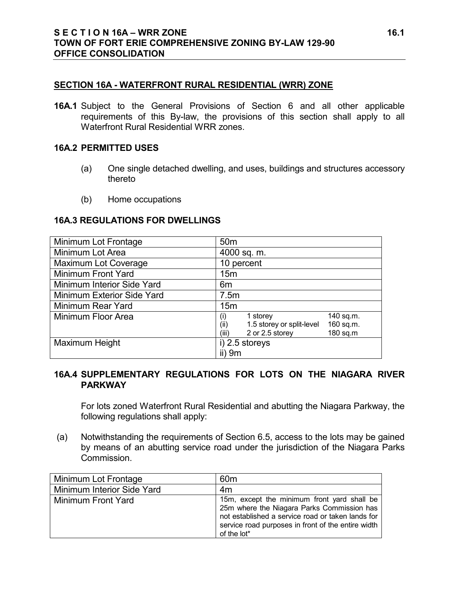#### **SECTION 16A - WATERFRONT RURAL RESIDENTIAL (WRR) ZONE**

**16A.1** Subject to the General Provisions of Section 6 and all other applicable requirements of this By-law, the provisions of this section shall apply to all Waterfront Rural Residential WRR zones.

#### **16A.2 PERMITTED USES**

- (a) One single detached dwelling, and uses, buildings and structures accessory thereto
- (b) Home occupations

#### **16A.3 REGULATIONS FOR DWELLINGS**

| Minimum Lot Frontage        | 50 <sub>m</sub>                                |
|-----------------------------|------------------------------------------------|
| Minimum Lot Area            | 4000 sq. m.                                    |
| <b>Maximum Lot Coverage</b> | 10 percent                                     |
| Minimum Front Yard          | 15 <sub>m</sub>                                |
| Minimum Interior Side Yard  | 6m                                             |
| Minimum Exterior Side Yard  | 7.5m                                           |
| Minimum Rear Yard           | 15 <sub>m</sub>                                |
| Minimum Floor Area          | 140 sq.m.<br>1 storey<br>(i)                   |
|                             | 1.5 storey or split-level<br>160 sq.m.<br>(ii) |
|                             | 2 or 2.5 storey<br>180 sq.m<br>(iii)           |
| Maximum Height              | i) 2.5 storeys                                 |
|                             | $ii)$ 9 $m$                                    |

## **16A.4 SUPPLEMENTARY REGULATIONS FOR LOTS ON THE NIAGARA RIVER PARKWAY**

For lots zoned Waterfront Rural Residential and abutting the Niagara Parkway, the following regulations shall apply:

(a) Notwithstanding the requirements of Section 6.5, access to the lots may be gained by means of an abutting service road under the jurisdiction of the Niagara Parks Commission.

| Minimum Lot Frontage       | 60m                                                                                                                                                                                                                 |
|----------------------------|---------------------------------------------------------------------------------------------------------------------------------------------------------------------------------------------------------------------|
| Minimum Interior Side Yard | 4m                                                                                                                                                                                                                  |
| Minimum Front Yard         | 15m, except the minimum front yard shall be<br>25m where the Niagara Parks Commission has<br>not established a service road or taken lands for<br>service road purposes in front of the entire width<br>of the lot* |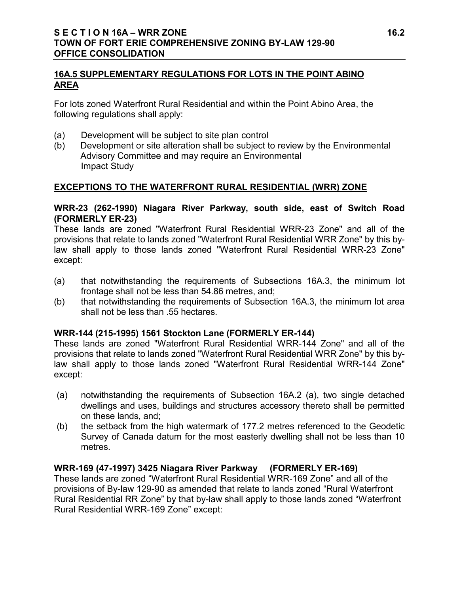## **16A.5 SUPPLEMENTARY REGULATIONS FOR LOTS IN THE POINT ABINO AREA**

For lots zoned Waterfront Rural Residential and within the Point Abino Area, the following regulations shall apply:

- (a) Development will be subject to site plan control
- (b) Development or site alteration shall be subject to review by the Environmental Advisory Committee and may require an Environmental Impact Study

## **EXCEPTIONS TO THE WATERFRONT RURAL RESIDENTIAL (WRR) ZONE**

#### **WRR-23 (262-1990) Niagara River Parkway, south side, east of Switch Road (FORMERLY ER-23)**

These lands are zoned "Waterfront Rural Residential WRR-23 Zone" and all of the provisions that relate to lands zoned "Waterfront Rural Residential WRR Zone" by this bylaw shall apply to those lands zoned "Waterfront Rural Residential WRR-23 Zone" except:

- (a) that notwithstanding the requirements of Subsections 16A.3, the minimum lot frontage shall not be less than 54.86 metres, and;
- (b) that notwithstanding the requirements of Subsection 16A.3, the minimum lot area shall not be less than .55 hectares.

## **WRR-144 (215-1995) 1561 Stockton Lane (FORMERLY ER-144)**

These lands are zoned "Waterfront Rural Residential WRR-144 Zone" and all of the provisions that relate to lands zoned "Waterfront Rural Residential WRR Zone" by this bylaw shall apply to those lands zoned "Waterfront Rural Residential WRR-144 Zone" except:

- (a) notwithstanding the requirements of Subsection 16A.2 (a), two single detached dwellings and uses, buildings and structures accessory thereto shall be permitted on these lands, and;
- (b) the setback from the high watermark of 177.2 metres referenced to the Geodetic Survey of Canada datum for the most easterly dwelling shall not be less than 10 metres.

## **WRR-169 (47-1997) 3425 Niagara River Parkway (FORMERLY ER-169)**

These lands are zoned "Waterfront Rural Residential WRR-169 Zone" and all of the provisions of By-law 129-90 as amended that relate to lands zoned "Rural Waterfront Rural Residential RR Zone" by that by-law shall apply to those lands zoned "Waterfront Rural Residential WRR-169 Zone" except: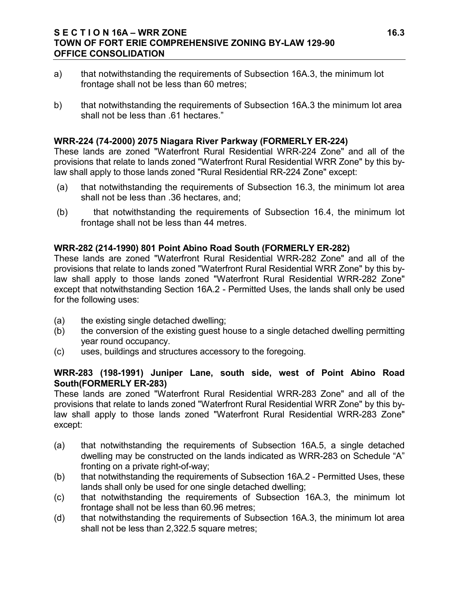## **S E C T I O N 16A – WRR ZONE 16.3 TOWN OF FORT ERIE COMPREHENSIVE ZONING BY-LAW 129-90 OFFICE CONSOLIDATION**

- a) that notwithstanding the requirements of Subsection 16A.3, the minimum lot frontage shall not be less than 60 metres;
- b) that notwithstanding the requirements of Subsection 16A.3 the minimum lot area shall not be less than .61 hectares."

## **WRR-224 (74-2000) 2075 Niagara River Parkway (FORMERLY ER-224)**

These lands are zoned "Waterfront Rural Residential WRR-224 Zone" and all of the provisions that relate to lands zoned "Waterfront Rural Residential WRR Zone" by this bylaw shall apply to those lands zoned "Rural Residential RR-224 Zone" except:

- (a) that notwithstanding the requirements of Subsection 16.3, the minimum lot area shall not be less than .36 hectares, and;
- (b) that notwithstanding the requirements of Subsection 16.4, the minimum lot frontage shall not be less than 44 metres.

## **WRR-282 (214-1990) 801 Point Abino Road South (FORMERLY ER-282)**

These lands are zoned "Waterfront Rural Residential WRR-282 Zone" and all of the provisions that relate to lands zoned "Waterfront Rural Residential WRR Zone" by this bylaw shall apply to those lands zoned "Waterfront Rural Residential WRR-282 Zone" except that notwithstanding Section 16A.2 - Permitted Uses, the lands shall only be used for the following uses:

- (a) the existing single detached dwelling;
- (b) the conversion of the existing guest house to a single detached dwelling permitting year round occupancy.
- (c) uses, buildings and structures accessory to the foregoing.

## **WRR-283 (198-1991) Juniper Lane, south side, west of Point Abino Road South(FORMERLY ER-283)**

These lands are zoned "Waterfront Rural Residential WRR-283 Zone" and all of the provisions that relate to lands zoned "Waterfront Rural Residential WRR Zone" by this bylaw shall apply to those lands zoned "Waterfront Rural Residential WRR-283 Zone" except:

- (a) that notwithstanding the requirements of Subsection 16A.5, a single detached dwelling may be constructed on the lands indicated as WRR-283 on Schedule "A" fronting on a private right-of-way;
- (b) that notwithstanding the requirements of Subsection 16A.2 Permitted Uses, these lands shall only be used for one single detached dwelling;
- (c) that notwithstanding the requirements of Subsection 16A.3, the minimum lot frontage shall not be less than 60.96 metres;
- (d) that notwithstanding the requirements of Subsection 16A.3, the minimum lot area shall not be less than 2,322.5 square metres;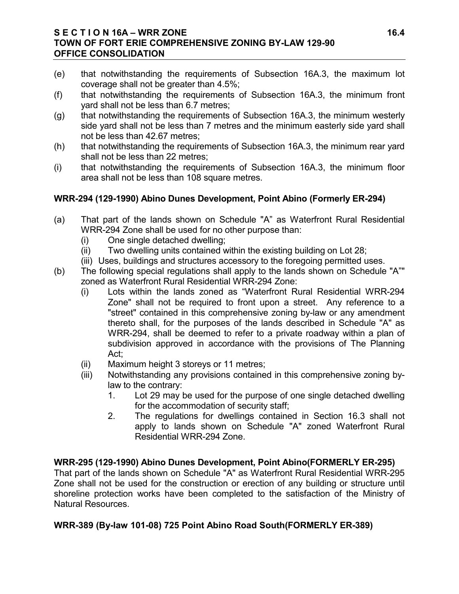## **S E C T I O N 16A – WRR ZONE 16.4 TOWN OF FORT ERIE COMPREHENSIVE ZONING BY-LAW 129-90 OFFICE CONSOLIDATION**

- (e) that notwithstanding the requirements of Subsection 16A.3, the maximum lot coverage shall not be greater than 4.5%;
- (f) that notwithstanding the requirements of Subsection 16A.3, the minimum front yard shall not be less than 6.7 metres;
- (g) that notwithstanding the requirements of Subsection 16A.3, the minimum westerly side yard shall not be less than 7 metres and the minimum easterly side yard shall not be less than 42.67 metres;
- (h) that notwithstanding the requirements of Subsection 16A.3, the minimum rear yard shall not be less than 22 metres;
- (i) that notwithstanding the requirements of Subsection 16A.3, the minimum floor area shall not be less than 108 square metres.

## **WRR-294 (129-1990) Abino Dunes Development, Point Abino (Formerly ER-294)**

- (a) That part of the lands shown on Schedule "A" as Waterfront Rural Residential WRR-294 Zone shall be used for no other purpose than:
	- (i) One single detached dwelling;
	- (ii) Two dwelling units contained within the existing building on Lot 28;
	- (iii) Uses, buildings and structures accessory to the foregoing permitted uses.
- (b) The following special regulations shall apply to the lands shown on Schedule "A"" zoned as Waterfront Rural Residential WRR-294 Zone:
	- (i) Lots within the lands zoned as "Waterfront Rural Residential WRR-294 Zone" shall not be required to front upon a street. Any reference to a "street" contained in this comprehensive zoning by-law or any amendment thereto shall, for the purposes of the lands described in Schedule "A" as WRR-294, shall be deemed to refer to a private roadway within a plan of subdivision approved in accordance with the provisions of The Planning Act;
	- (ii) Maximum height 3 storeys or 11 metres;
	- (iii) Notwithstanding any provisions contained in this comprehensive zoning bylaw to the contrary:
		- 1. Lot 29 may be used for the purpose of one single detached dwelling for the accommodation of security staff;
		- 2. The regulations for dwellings contained in Section 16.3 shall not apply to lands shown on Schedule "A" zoned Waterfront Rural Residential WRR-294 Zone.

# **WRR-295 (129-1990) Abino Dunes Development, Point Abino(FORMERLY ER-295)**

That part of the lands shown on Schedule "A" as Waterfront Rural Residential WRR-295 Zone shall not be used for the construction or erection of any building or structure until shoreline protection works have been completed to the satisfaction of the Ministry of Natural Resources.

# **WRR-389 (By-law 101-08) 725 Point Abino Road South(FORMERLY ER-389)**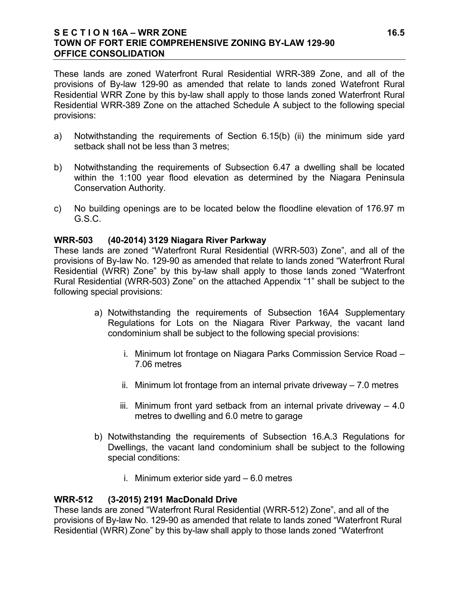## **S E C T I O N 16A – WRR ZONE 16.5 TOWN OF FORT ERIE COMPREHENSIVE ZONING BY-LAW 129-90 OFFICE CONSOLIDATION**

These lands are zoned Waterfront Rural Residential WRR-389 Zone, and all of the provisions of By-law 129-90 as amended that relate to lands zoned Watefront Rural Residential WRR Zone by this by-law shall apply to those lands zoned Waterfront Rural Residential WRR-389 Zone on the attached Schedule A subject to the following special provisions:

- a) Notwithstanding the requirements of Section 6.15(b) (ii) the minimum side yard setback shall not be less than 3 metres;
- b) Notwithstanding the requirements of Subsection 6.47 a dwelling shall be located within the 1:100 year flood elevation as determined by the Niagara Peninsula Conservation Authority.
- c) No building openings are to be located below the floodline elevation of 176.97 m G.S.C.

## **WRR-503 (40-2014) 3129 Niagara River Parkway**

These lands are zoned "Waterfront Rural Residential (WRR-503) Zone", and all of the provisions of By-law No. 129-90 as amended that relate to lands zoned "Waterfront Rural Residential (WRR) Zone" by this by-law shall apply to those lands zoned "Waterfront Rural Residential (WRR-503) Zone" on the attached Appendix "1" shall be subject to the following special provisions:

- a) Notwithstanding the requirements of Subsection 16A4 Supplementary Regulations for Lots on the Niagara River Parkway, the vacant land condominium shall be subject to the following special provisions:
	- i. Minimum lot frontage on Niagara Parks Commission Service Road 7.06 metres
	- ii. Minimum lot frontage from an internal private driveway 7.0 metres
	- iii. Minimum front yard setback from an internal private driveway 4.0 metres to dwelling and 6.0 metre to garage
- b) Notwithstanding the requirements of Subsection 16.A.3 Regulations for Dwellings, the vacant land condominium shall be subject to the following special conditions:
	- i. Minimum exterior side yard 6.0 metres

## **WRR-512 (3-2015) 2191 MacDonald Drive**

These lands are zoned "Waterfront Rural Residential (WRR-512) Zone", and all of the provisions of By-law No. 129-90 as amended that relate to lands zoned "Waterfront Rural Residential (WRR) Zone" by this by-law shall apply to those lands zoned "Waterfront